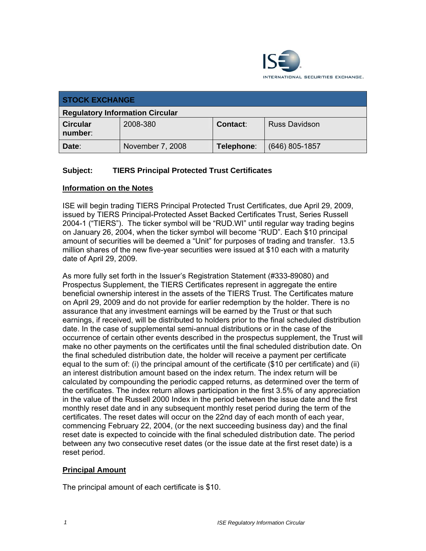

| <b>STOCK EXCHANGE</b>                  |                  |            |                      |
|----------------------------------------|------------------|------------|----------------------|
| <b>Regulatory Information Circular</b> |                  |            |                      |
| <b>Circular</b><br>number:             | 2008-380         | Contact:   | <b>Russ Davidson</b> |
| Date:                                  | November 7, 2008 | Telephone: | $(646)$ 805-1857     |

## **Subject: TIERS Principal Protected Trust Certificates**

#### **Information on the Notes**

ISE will begin trading TIERS Principal Protected Trust Certificates, due April 29, 2009, issued by TIERS Principal-Protected Asset Backed Certificates Trust, Series Russell 2004-1 ("TIERS"). The ticker symbol will be "RUD.WI" until regular way trading begins on January 26, 2004, when the ticker symbol will become "RUD". Each \$10 principal amount of securities will be deemed a "Unit" for purposes of trading and transfer. 13.5 million shares of the new five-year securities were issued at \$10 each with a maturity date of April 29, 2009.

As more fully set forth in the Issuer's Registration Statement (#333-89080) and Prospectus Supplement, the TIERS Certificates represent in aggregate the entire beneficial ownership interest in the assets of the TIERS Trust. The Certificates mature on April 29, 2009 and do not provide for earlier redemption by the holder. There is no assurance that any investment earnings will be earned by the Trust or that such earnings, if received, will be distributed to holders prior to the final scheduled distribution date. In the case of supplemental semi-annual distributions or in the case of the occurrence of certain other events described in the prospectus supplement, the Trust will make no other payments on the certificates until the final scheduled distribution date. On the final scheduled distribution date, the holder will receive a payment per certificate equal to the sum of: (i) the principal amount of the certificate (\$10 per certificate) and (ii) an interest distribution amount based on the index return. The index return will be calculated by compounding the periodic capped returns, as determined over the term of the certificates. The index return allows participation in the first 3.5% of any appreciation in the value of the Russell 2000 Index in the period between the issue date and the first monthly reset date and in any subsequent monthly reset period during the term of the certificates. The reset dates will occur on the 22nd day of each month of each year, commencing February 22, 2004, (or the next succeeding business day) and the final reset date is expected to coincide with the final scheduled distribution date. The period between any two consecutive reset dates (or the issue date at the first reset date) is a reset period.

#### **Principal Amount**

The principal amount of each certificate is \$10.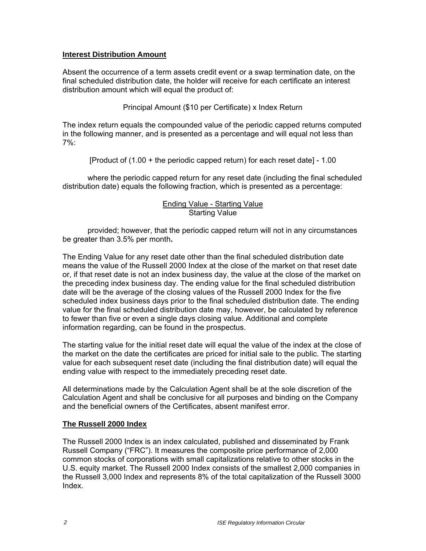#### **Interest Distribution Amount**

Absent the occurrence of a term assets credit event or a swap termination date, on the final scheduled distribution date, the holder will receive for each certificate an interest distribution amount which will equal the product of:

Principal Amount (\$10 per Certificate) x Index Return

The index return equals the compounded value of the periodic capped returns computed in the following manner, and is presented as a percentage and will equal not less than 7%:

[Product of (1.00 + the periodic capped return) for each reset date] - 1.00

where the periodic capped return for any reset date (including the final scheduled distribution date) equals the following fraction, which is presented as a percentage:

#### Ending Value - Starting Value Starting Value

provided; however, that the periodic capped return will not in any circumstances be greater than 3.5% per month**.**

The Ending Value for any reset date other than the final scheduled distribution date means the value of the Russell 2000 Index at the close of the market on that reset date or, if that reset date is not an index business day, the value at the close of the market on the preceding index business day. The ending value for the final scheduled distribution date will be the average of the closing values of the Russell 2000 Index for the five scheduled index business days prior to the final scheduled distribution date. The ending value for the final scheduled distribution date may, however, be calculated by reference to fewer than five or even a single days closing value. Additional and complete information regarding, can be found in the prospectus.

The starting value for the initial reset date will equal the value of the index at the close of the market on the date the certificates are priced for initial sale to the public. The starting value for each subsequent reset date (including the final distribution date) will equal the ending value with respect to the immediately preceding reset date.

All determinations made by the Calculation Agent shall be at the sole discretion of the Calculation Agent and shall be conclusive for all purposes and binding on the Company and the beneficial owners of the Certificates, absent manifest error.

### **The Russell 2000 Index**

The Russell 2000 Index is an index calculated, published and disseminated by Frank Russell Company ("FRC"). It measures the composite price performance of 2,000 common stocks of corporations with small capitalizations relative to other stocks in the U.S. equity market. The Russell 2000 Index consists of the smallest 2,000 companies in the Russell 3,000 Index and represents 8% of the total capitalization of the Russell 3000 Index.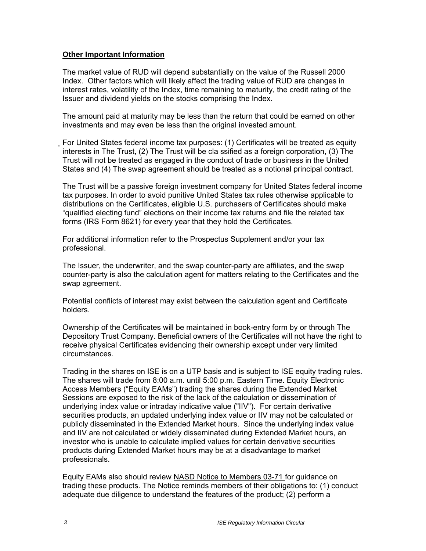#### **Other Important Information**

The market value of RUD will depend substantially on the value of the Russell 2000 Index. Other factors which will likely affect the trading value of RUD are changes in interest rates, volatility of the Index, time remaining to maturity, the credit rating of the Issuer and dividend yields on the stocks comprising the Index.

The amount paid at maturity may be less than the return that could be earned on other investments and may even be less than the original invested amount.

For United States federal income tax purposes: (1) Certificates will be treated as equity interests in The Trust, (2) The Trust will be cla ssified as a foreign corporation, (3) The Trust will not be treated as engaged in the conduct of trade or business in the United States and (4) The swap agreement should be treated as a notional principal contract.

The Trust will be a passive foreign investment company for United States federal income tax purposes. In order to avoid punitive United States tax rules otherwise applicable to distributions on the Certificates, eligible U.S. purchasers of Certificates should make "qualified electing fund" elections on their income tax returns and file the related tax forms (IRS Form 8621) for every year that they hold the Certificates.

For additional information refer to the Prospectus Supplement and/or your tax professional.

The Issuer, the underwriter, and the swap counter-party are affiliates, and the swap counter-party is also the calculation agent for matters relating to the Certificates and the swap agreement.

Potential conflicts of interest may exist between the calculation agent and Certificate holders.

Ownership of the Certificates will be maintained in book-entry form by or through The Depository Trust Company. Beneficial owners of the Certificates will not have the right to receive physical Certificates evidencing their ownership except under very limited circumstances.

Trading in the shares on ISE is on a UTP basis and is subject to ISE equity trading rules. The shares will trade from 8:00 a.m. until 5:00 p.m. Eastern Time. Equity Electronic Access Members ("Equity EAMs") trading the shares during the Extended Market Sessions are exposed to the risk of the lack of the calculation or dissemination of underlying index value or intraday indicative value ("IIV"). For certain derivative securities products, an updated underlying index value or IIV may not be calculated or publicly disseminated in the Extended Market hours. Since the underlying index value and IIV are not calculated or widely disseminated during Extended Market hours, an investor who is unable to calculate implied values for certain derivative securities products during Extended Market hours may be at a disadvantage to market professionals.

Equity EAMs also should review NASD Notice to Members 03-71 for guidance on trading these products. The Notice reminds members of their obligations to: (1) conduct adequate due diligence to understand the features of the product; (2) perform a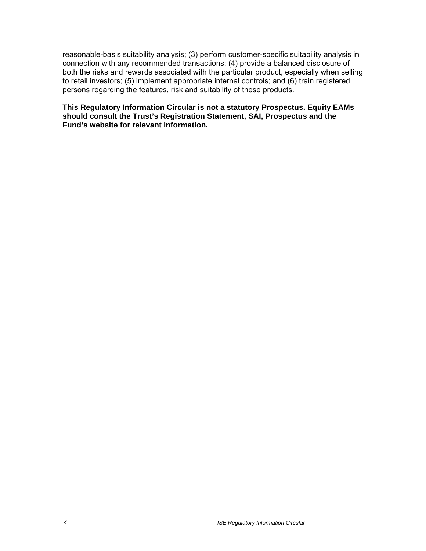reasonable-basis suitability analysis; (3) perform customer-specific suitability analysis in connection with any recommended transactions; (4) provide a balanced disclosure of both the risks and rewards associated with the particular product, especially when selling to retail investors; (5) implement appropriate internal controls; and (6) train registered persons regarding the features, risk and suitability of these products.

**This Regulatory Information Circular is not a statutory Prospectus. Equity EAMs should consult the Trust's Registration Statement, SAI, Prospectus and the Fund's website for relevant information.**